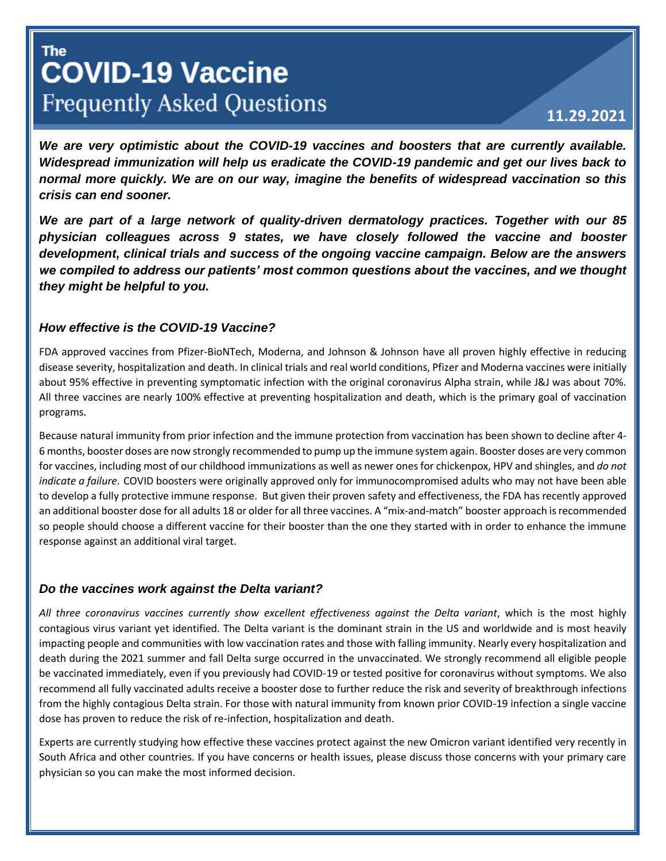# **The COVID-19 Vaccine Frequently Asked Questions**

# **11.29.2021**

*We are very optimistic about the COVID-19 vaccines and boosters that are currently available. Widespread immunization will help us eradicate the COVID-19 pandemic and get our lives back to normal more quickly. We are on our way, imagine the benefits of widespread vaccination so this crisis can end sooner.*

*We are part of a large network of quality-driven dermatology practices. Together with our 85 physician colleagues across 9 states, we have closely followed the vaccine and booster development, clinical trials and success of the ongoing vaccine campaign. Below are the answers we compiled to address our patients' most common questions about the vaccines, and we thought they might be helpful to you.*

#### *How effective is the COVID-19 Vaccine?*

FDA approved vaccines from Pfizer-BioNTech, Moderna, and Johnson & Johnson have all proven highly effective in reducing disease severity, hospitalization and death. In clinical trials and real world conditions, Pfizer and Moderna vaccines were initially about 95% effective in preventing symptomatic infection with the original coronavirus Alpha strain, while J&J was about 70%. All three vaccines are nearly 100% effective at preventing hospitalization and death, which is the primary goal of vaccination programs.

Because natural immunity from prior infection and the immune protection from vaccination has been shown to decline after 4- 6 months, booster doses are now strongly recommended to pump up the immune system again. Booster doses are very common for vaccines, including most of our childhood immunizations as well as newer ones for chickenpox, HPV and shingles, and *do not indicate a failure*. COVID boosters were originally approved only for immunocompromised adults who may not have been able to develop a fully protective immune response. But given their proven safety and effectiveness, the FDA has recently approved an additional booster dose for all adults 18 or older for all three vaccines. A "mix-and-match" booster approach is recommended so people should choose a different vaccine for their booster than the one they started with in order to enhance the immune response against an additional viral target.

# *Do the vaccines work against the Delta variant?*

*All three coronavirus vaccines currently show excellent effectiveness against the Delta variant*, which is the most highly contagious virus variant yet identified. The Delta variant is the dominant strain in the US and worldwide and is most heavily impacting people and communities with low vaccination rates and those with falling immunity. Nearly every hospitalization and death during the 2021 summer and fall Delta surge occurred in the unvaccinated. We strongly recommend all eligible people be vaccinated immediately, even if you previously had COVID-19 or tested positive for coronavirus without symptoms. We also recommend all fully vaccinated adults receive a booster dose to further reduce the risk and severity of breakthrough infections from the highly contagious Delta strain. For those with natural immunity from known prior COVID-19 infection a single vaccine dose has proven to reduce the risk of re-infection, hospitalization and death.

Experts are currently studying how effective these vaccines protect against the new Omicron variant identified very recently in South Africa and other countries. If you have concerns or health issues, please discuss those concerns with your primary care physician so you can make the most informed decision.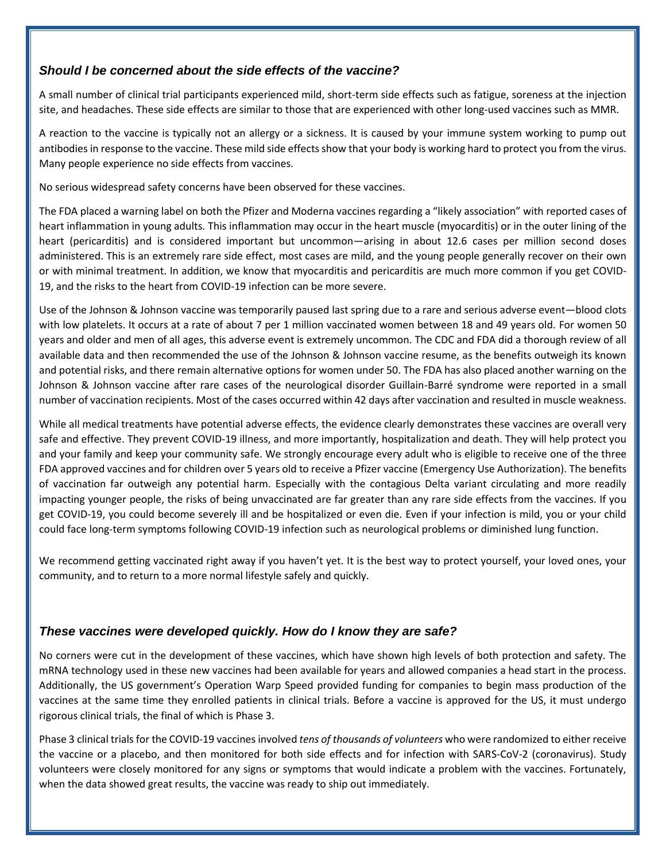# *Should I be concerned about the side effects of the vaccine?*

A small number of clinical trial participants experienced mild, short-term side effects such as fatigue, soreness at the injection site, and headaches. These side effects are similar to those that are experienced with other long-used vaccines such as MMR.

A reaction to the vaccine is typically not an allergy or a sickness. It is caused by your immune system working to pump out antibodies in response to the vaccine. These mild side effects show that your body is working hard to protect you from the virus. Many people experience no side effects from vaccines.

No serious widespread safety concerns have been observed for these vaccines.

The FDA placed a warning label on both the Pfizer and Moderna vaccines regarding a "likely association" with reported cases of heart inflammation in young adults. This inflammation may occur in the heart muscle (myocarditis) or in the outer lining of the heart (pericarditis) and is considered important but uncommon—arising in about 12.6 cases per million second doses administered. This is an extremely rare side effect, most cases are mild, and the young people generally recover on their own or with minimal treatment. In addition, we know that myocarditis and pericarditis are much more common if you get COVID-19, and the risks to the heart from COVID-19 infection can be more severe.

Use of the Johnson & Johnson vaccine was temporarily paused last spring due to a rare and serious adverse event—blood clots with low platelets. It occurs at a rate of about 7 per 1 million vaccinated women between 18 and 49 years old. For women 50 years and older and men of all ages, this adverse event is extremely uncommon. The CDC and FDA did a thorough review of all available data and then recommended the use of the Johnson & Johnson vaccine resume, as the benefits outweigh its known and potential risks, and there remain alternative options for women under 50. The FDA has also placed another warning on the Johnson & Johnson vaccine after rare cases of the neurological disorder Guillain-Barré syndrome were reported in a small number of vaccination recipients. Most of the cases occurred within 42 days after vaccination and resulted in muscle weakness.

While all medical treatments have potential adverse effects, the evidence clearly demonstrates these vaccines are overall very safe and effective. They prevent COVID-19 illness, and more importantly, hospitalization and death. They will help protect you and your family and keep your community safe. We strongly encourage every adult who is eligible to receive one of the three FDA approved vaccines and for children over 5 years old to receive a Pfizer vaccine (Emergency Use Authorization). The benefits of vaccination far outweigh any potential harm. Especially with the contagious Delta variant circulating and more readily impacting younger people, the risks of being unvaccinated are far greater than any rare side effects from the vaccines. If you get COVID-19, you could become severely ill and be hospitalized or even die. Even if your infection is mild, you or your child could face long-term symptoms following COVID-19 infection such as neurological problems or diminished lung function.

We recommend getting vaccinated right away if you haven't yet. It is the best way to protect yourself, your loved ones, your community, and to return to a more normal lifestyle safely and quickly.

#### *These vaccines were developed quickly. How do I know they are safe?*

No corners were cut in the development of these vaccines, which have shown high levels of both protection and safety. The mRNA technology used in these new vaccines had been available for years and allowed companies a head start in the process. Additionally, the US government's Operation Warp Speed provided funding for companies to begin mass production of the vaccines at the same time they enrolled patients in clinical trials. Before a vaccine is approved for the US, it must undergo rigorous clinical trials, the final of which is Phase 3.

Phase 3 clinical trials for the COVID-19 vaccines involved *tens of thousands of volunteers* who were randomized to either receive the vaccine or a placebo, and then monitored for both side effects and for infection with SARS-CoV-2 (coronavirus). Study volunteers were closely monitored for any signs or symptoms that would indicate a problem with the vaccines. Fortunately, when the data showed great results, the vaccine was ready to ship out immediately.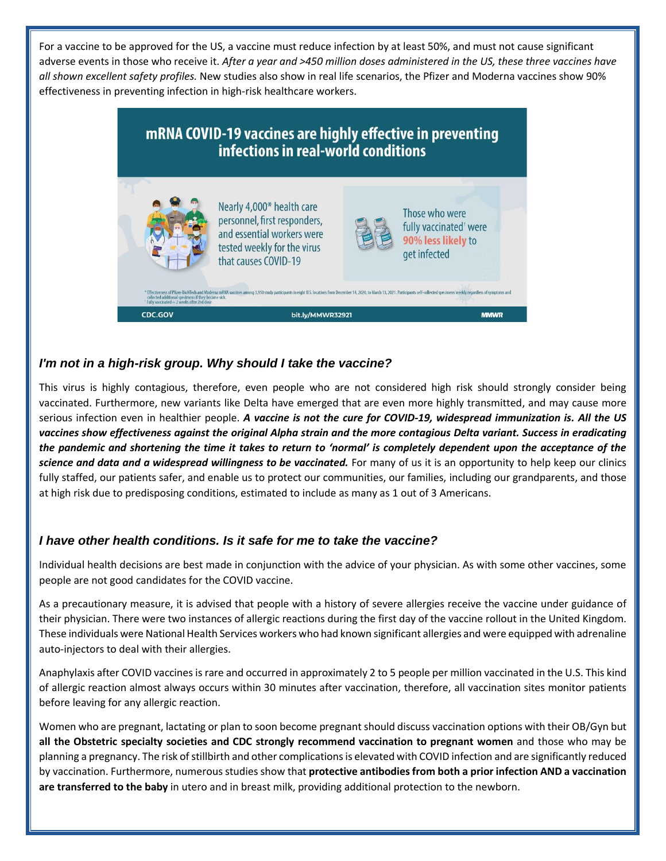For a vaccine to be approved for the US, a vaccine must reduce infection by at least 50%, and must not cause significant adverse events in those who receive it. *After a year and >450 million doses administered in the US, these three vaccines have all shown excellent safety profiles.* New studies also show in real life scenarios, the Pfizer and Moderna vaccines show 90% effectiveness in preventing infection in high-risk healthcare workers.



# *I'm not in a high-risk group. Why should I take the vaccine?*

This virus is highly contagious, therefore, even people who are not considered high risk should strongly consider being vaccinated. Furthermore, new variants like Delta have emerged that are even more highly transmitted, and may cause more serious infection even in healthier people. *A vaccine is not the cure for COVID-19, widespread immunization is. All the US vaccines show effectiveness against the original Alpha strain and the more contagious Delta variant. Success in eradicating the pandemic and shortening the time it takes to return to 'normal' is completely dependent upon the acceptance of the science and data and a widespread willingness to be vaccinated.* For many of us it is an opportunity to help keep our clinics fully staffed, our patients safer, and enable us to protect our communities, our families, including our grandparents, and those at high risk due to predisposing conditions, estimated to include as many as 1 out of 3 Americans.

#### *I have other health conditions. Is it safe for me to take the vaccine?*

Individual health decisions are best made in conjunction with the advice of your physician. As with some other vaccines, some people are not good candidates for the COVID vaccine.

As a precautionary measure, it is advised that people with a history of severe allergies receive the vaccine under guidance of their physician. There were two instances of allergic reactions during the first day of the vaccine rollout in the United Kingdom. These individuals were National Health Services workers who had known significant allergies and were equipped with adrenaline auto-injectors to deal with their allergies.

Anaphylaxis after COVID vaccines is rare and occurred in approximately 2 to 5 people per million vaccinated in the U.S. This kind of allergic reaction almost always occurs within 30 minutes after vaccination, therefore, all vaccination sites monitor patients before leaving for any allergic reaction.

Women who are pregnant, lactating or plan to soon become pregnant should discuss vaccination options with their OB/Gyn but **all the Obstetric specialty societies and CDC strongly recommend vaccination to pregnant women** and those who may be planning a pregnancy. The risk of stillbirth and other complications is elevated with COVID infection and are significantly reduced by vaccination. Furthermore, numerous studies show that **protective antibodies from both a prior infection AND a vaccination are transferred to the baby** in utero and in breast milk, providing additional protection to the newborn.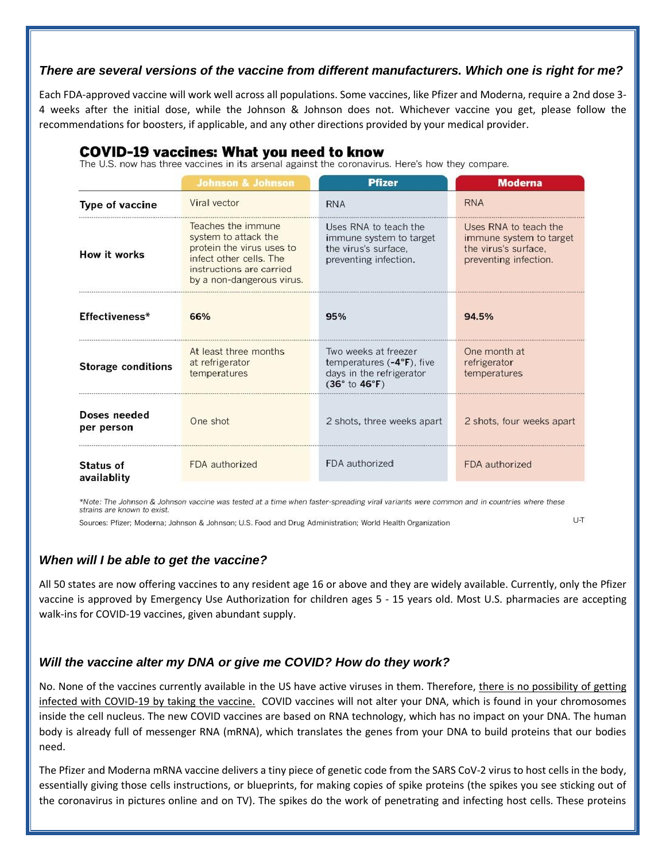#### *There are several versions of the vaccine from different manufacturers. Which one is right for me?*

Each FDA-approved vaccine will work well across all populations. Some vaccines, like Pfizer and Moderna, require a 2nd dose 3- 4 weeks after the initial dose, while the Johnson & Johnson does not. Whichever vaccine you get, please follow the recommendations for boosters, if applicable, and any other directions provided by your medical provider.

## COVID-19 vaccines: What you need to know

The U.S. now has three vaccines in its arsenal against the coronavirus. Here's how they compare.

|                            | <b>Johnson &amp; Johnson</b>                                                                                                                                | <b>Pfizer</b>                                                                                     | <b>Moderna</b>                                                                                    |
|----------------------------|-------------------------------------------------------------------------------------------------------------------------------------------------------------|---------------------------------------------------------------------------------------------------|---------------------------------------------------------------------------------------------------|
| Type of vaccine            | Viral vector                                                                                                                                                | <b>RNA</b>                                                                                        | <b>RNA</b>                                                                                        |
| How it works               | Teaches the immune<br>system to attack the<br>protein the virus uses to<br>infect other cells. The<br>instructions are carried<br>by a non-dangerous virus. | Uses RNA to teach the<br>immune system to target<br>the virus's surface.<br>preventing infection. | Uses RNA to teach the<br>immune system to target<br>the virus's surface.<br>preventing infection. |
| Effectiveness*             | 66%                                                                                                                                                         | 95%                                                                                               | 94.5%                                                                                             |
| <b>Storage conditions</b>  | At least three months<br>at refrigerator<br>temperatures                                                                                                    | Two weeks at freezer<br>temperatures $(-4°F)$ , five<br>days in the refrigerator<br>(36° to 46°F) | One month at<br>refrigerator<br>temperatures                                                      |
| Doses needed<br>per person | One shot                                                                                                                                                    | 2 shots, three weeks apart                                                                        | 2 shots, four weeks apart                                                                         |
| Status of<br>availablity   | FDA authorized                                                                                                                                              | FDA authorized                                                                                    | FDA authorized                                                                                    |

\*Note: The Johnson & Johnson vaccine was tested at a time when faster-spreading viral variants were common and in countries where these strains are known to exist.

Sources: Pfizer; Moderna; Johnson & Johnson; U.S. Food and Drug Administration; World Health Organization

U-T

#### *When will I be able to get the vaccine?*

All 50 states are now offering vaccines to any resident age 16 or above and they are widely available. Currently, only the Pfizer vaccine is approved by Emergency Use Authorization for children ages 5 - 15 years old. Most U.S. pharmacies are accepting walk-ins for COVID-19 vaccines, given abundant supply.

#### *Will the vaccine alter my DNA or give me COVID? How do they work?*

No. None of the vaccines currently available in the US have active viruses in them. Therefore, there is no possibility of getting infected with COVID-19 by taking the vaccine. COVID vaccines will not alter your DNA, which is found in your chromosomes inside the cell nucleus. The new COVID vaccines are based on RNA technology, which has no impact on your DNA. The human body is already full of messenger RNA (mRNA), which translates the genes from your DNA to build proteins that our bodies need.

The Pfizer and Moderna mRNA vaccine delivers a tiny piece of genetic code from the SARS CoV-2 virus to host cells in the body, essentially giving those cells instructions, or blueprints, for making copies of spike proteins (the spikes you see sticking out of the coronavirus in pictures online and on TV). The spikes do the work of penetrating and infecting host cells. These proteins